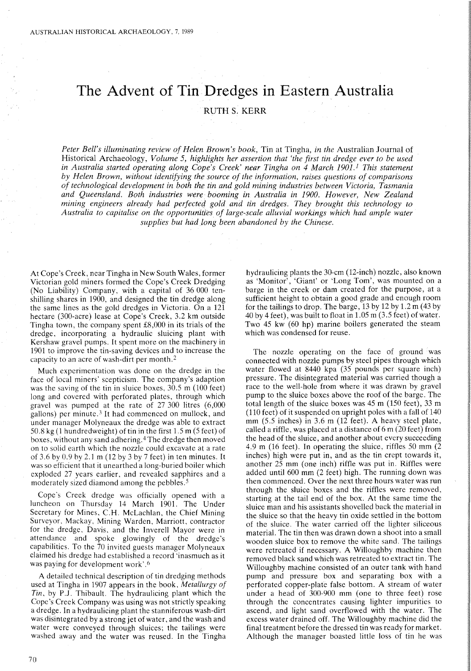## **The Advent of Tin Dredges in Eastern Australia**

RUTH S. KERR

*Peter Bell's illuminating review of Helen Brown's book,* Tin at Tingha, *in the* Australian Journal of Historical Archaeology, *Volume* 5, *highlights her assertion that 'the first tin dredge ever to be used in Australia started operating along Cope's Creek' near Tingha on* 4 *March 1901.1 This statement by Helen Brown, without identifying the source of the information, raises qUf:stions of comparisons of technological development in both the tin and gold mining industries between Victoria, Tasmania and Queensland. Both industries were booming in Australia in 1900. However, New Zealand mining engineers already had perfecteq gold and tin dredges. They brought this technology to Australia to capitalise on the opportunities of large-scale alluvial workings which had ample water supplies but had long been abandoned by the Chinese.*

At Cope's Creek, near Tingha in New South Wales, former Victorian gold miners formed the Cope's Creek Dredging (No Liability) Company, with a capital of 36000 tenshilling shares in 1900, and designed the tin dredge along the same lines as the gold dredges in Victoria. On a 121 hectare (300-acre) lease at Cope's Creek, 3.2 km outside Tingha town, the company spent £8,000 in its trials of the dredge, incorporating a hydraulic sluicing plant with Kershaw gravel pumps. It spent more on the machinery in 1901 to improve the tin-saving devices and to increase the capacity to an acre of wash-dirt per month. <sup>2</sup>

Much experimentation was done on the dredge in the face of local miners' scepticism. The company's adaption was the saving of the tin in sluice boxes, 30.5 m (100 feet) long and covered with perforated plates, through which gravel was pumped at the rate of 27 300 litres (6,000 gallons) per minute.<sup>3</sup> It had commenced on mullock, and under manager Molyneaux the dredge was able to extract 50.8 kg (1 hundredweight) of tin in the first 1.5 m (5 feet) of boxes, without any sand adhering. <sup>4</sup> The dredge then moved on to solid earth which the nozzle could excavate at a rate of 3.6 by 0.9 by 2.1 m (12 by 3 by 7 feet) in ten minutes. It was so efficient that it unearthed a long-buried boiler which exploded 27 years earlier, and revealed sapphires and a moderately sized diamond among the pebbles.<sup>5</sup>

Cope's Creek dredge was officially opened with a luncheon on Thursday 14 March 1901. The Under Secretary for Mines, C.H. McLachlan, the Chief Mining Surveyor, Mackay, Mining Warden, Marriott, contractor for the dredge, Davis, and the Inverell Mayor were in attendance and spoke glowingly of the dredge's capabilities. To the 70 invited guests manager Molyneaux claimed his dredge had established a record 'inasmuch as it was paying for development work'.6

A detailed technical description of tin dredging methods used at Tingha in 1907 appears in the book, *Metallurgy of Tin,* by P.J. Thibault. The hydraulicing plant which the Cope's Creek Company was using was not strictly speaking a dredge. In a hydraulicing plant the stanniferous wash-dirt was disintegrated by a strong jet of water, and the wash and water were conveyed through sluices; the tailings were washed away and the water was reused. In the Tingha

hydraulicing plants the 30-cm (12-inch) nozzle, also known as 'Monitor', 'Giant' or 'Long Tom', was mounted on a barge in the creek or dam created for the purpose, at a sufficient height to obtain a good grade and enough room for the tailings to drop. The barge, 13 by 12 by 1.2 m (43 by 40 by 4 feet), was built to float in 1.05 m (3.5 feet) of water. Two 45 kw (60 hp) marine boilers generated the steam which was condensed for reuse.

The nozzle operating on the face of ground was connected with nozzle pumps by steel pipes through which water flowed at 8440 kpa (35 pounds per square inch) pressure. The disintegrated material was carried though a race to the well-hole from where it was drawn by gravel pump to the sluice boxes above the roof of the barge. The total length of the sluice boxes was 45 m (150 feet), 33 m (110 feet) of it suspended on upright poles with a fall of 140 mm (5.5 inches) in 3.6 m (12 feet). A heavy steel plate, called a riffle, was placed at a distance of 6 m (20 feet) from the head of the sluice, and another about every succeeding 4.9 m (16 feet). In operating the sluice, riffles 50 mm (2 inches) high were put in, and as the tin crept towards it, another  $2\bar{5}$  mm (one inch) riffle was put in. Riffles were added until 600 mm (2 feet) high. The running down was then commenced. Over the next three hours water was run through the sluice boxes and the riffles were removed, starting at the tail end of the box. At the same time the sluice man and his assistants shovelled back the material in the sluice so that the heavy tin oxide settled in the bottom of the sluice. The water carried off the lighter siliceous material. The tin then was drawn down a shoot into a small wooden sluice box to remove the white sand. The tailings were retreated if necessary. A Willoughby machine then removed black sand which was retreated to extract tin. The Willoughby machine consisted of an outer tank with hand pump and pressure box and separating box with a perforated copper-plate false bottom. A stream of water under a head of 300-900 mm (one to three feet) rose through the concentrates causing lighter impurities to ascend, and light sand overflowed with the water. The excess water drained off. The Willoughby machine did the final treatment before the dressed tin was ready for market. Although the manager boasted little loss of tin he was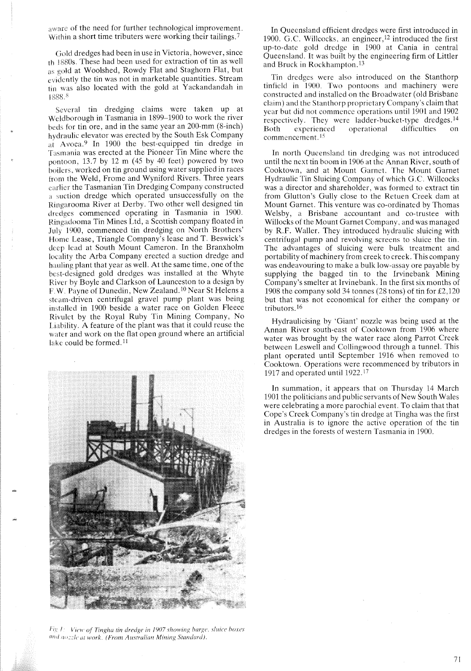aware of the need for further technological improvement. Within a short time tributers were working their tailings.<sup>7</sup>

Gold dredges had been in use in Victoria, however, since th 1880s. These had been used for extraction of tin as well as gold at Woolshed, Rowdy Flat and Staghorn Flat, but evidently the tin was not in marketable quantities. Stream tin was also located with the gold at Yackandandah in  $1888.^8$ 

Several tin dredging claims were taken up at Weldborough in Tasmania in 1899-1900 to work the river beds for tin ore, and in the same year an 200-mm (8-inch) hydraulic elevator was erected by the South Esk Company at Avoca.<sup>9</sup> In 1900 the best-equipped tin dredge in Tasmania was erected at the Pioneer Tin Mine where the pontoon, 13.7 by 12 m (45 by 40 feet) powered by two boilers, worked on tin ground using water supplied in races from the Weld, Frome and Wyniford Rivers. Three years earlier the Tasmanian Tin Dredging Company constructed a suction dredge which operated unsuccessfully on the Ringarooma River at Derby. Two other well designed tin dredges commenced operating in Tasmania in 1900. Ringadooma Tin Mines Ltd, a Scottish company floated in JUly> 1900, commenced tin dredging on North Brothers' Home Lease, Triangle Company's lease and T. Beswick's deep lead at South Mount Cameron. In the Branxholm locality the Arba Company erected a suction dredge and hauling plant that year as well. At the same time, one of the best-designed gold dredges was installed at the Whyte River by Boyle and Clarkson of Launceston to a design by F.W. Payne of Dunedin, New Zealand. <sup>10</sup> Near St Helens a steam-driven centrifugal gravel pump plant was being installed in 1900 beside a water race on Golden Fleece Rivulet by the Royal Ruby Tin Mining Company, No Liability. A feature of the plant was that it could reuse the water and work on the flat open ground where an artificial lake could be formed.<sup>11</sup>



*Fig! liin" of Tinfiha [in dredge in 1907 showing barfie. s!uice boxes* ([lid *11{)::!c al work. (From Australian Mining S/{lndan/).*

In Queensland efficient dredges were first introduced in 1900. G.C. Willcocks, an engineer, $12$  introduced the first up-to-date gold dredge in 1900 at Cania in central Queensland. It was built by the engineering firm of Littler and Bruck in Rockhampton. <sup>13</sup>

Tin dredges were also introduced on the Stanthorp tinfield in 1900. Two pontoons and machinery were constructed and installed on the Broadwater (old Brisbane claim) and the Stanthorp proprietary Company's claim that year but did not commence operations until 1901 and 1902 respectively. They were ladder-bucket-type dredges. <sup>14</sup> Both experienced operational difficulties commencement.<sup>15</sup>

In north Queensland tin dredging was not introduced until the next tin boom in 1906 at the Annan River, south of Cooktown, and at Mount Garnet. The Mount Garnet Hydraulic Tin Sluicing Company of which G.c. Willcocks was a director and shareholder, was formed to extract tin from Glutton's Gully close to the Retuen Creek dam at Mount Garnet. This venture was co-ordinated by Thomas Welsby, a Brisbane accountant and co-trustee with Willocks of the Mount Garnet Company, and was managed by R.F. Waller. They introduced hydraulic sluicing with centrifugal pump and revolving screens to sluice the tin. The advantages of sluicing were bulk treatment and portability of machinery from creek to creek. This company was endeavouring to make a bulk low-assay ore payable by supplying the bagged tin to the Irvinebank Mining Company's smelter at Irvinebank. In the first six months of 1908 the company sold 34 tonnes (28 tons) of tin for £2,120 but that was not economical for either the company or tributors. 16

Hydraulicising by 'Giant' nozzle was being used at the Annan River south-east of Cooktown from 1906 where water was brought by the water race along Parrot Creek between Leswell and Collingwood through a tunnel. This plant operated until September 1916 when removed to Cooktown. Operations were recommenced by tributors in 1917 and operated until 1922.<sup>17</sup>

In summation, it appears that on Thursday 14 March 1901 the politicians and public servants of New South Wales were celebrating a more parochial event. To claim that that Cope's Creek Company's tin dredge at Tingha was the first in Australia is to ignore the active operation of the tin dredges in the forests of western Tasmania in 1900.